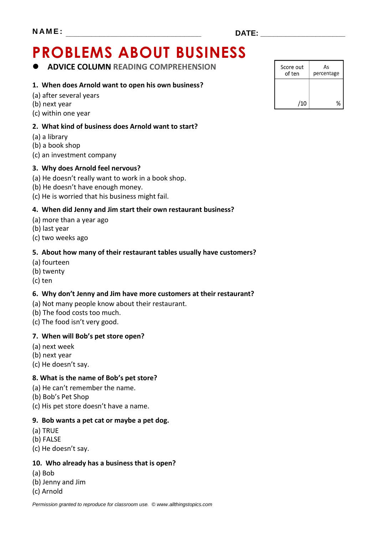# **PROBLEMS ABOUT BUSINESS**

**ADVICE COLUMN READING COMPREHENSION**

#### **1. When does Arnold want to open his own business?**

- (a) after several years
- (b) next year
- (c) within one year

#### **2. What kind of business does Arnold want to start?**

- (a) a library
- (b) a book shop
- (c) an investment company

#### **3. Why does Arnold feel nervous?**

- (a) He doesn't really want to work in a book shop.
- (b) He doesn't have enough money.
- (c) He is worried that his business might fail.

#### **4. When did Jenny and Jim start their own restaurant business?**

- (a) more than a year ago
- (b) last year
- (c) two weeks ago

#### **5. About how many of their restaurant tables usually have customers?**

- (a) fourteen
- (b) twenty
- (c) ten

#### **6. Why don't Jenny and Jim have more customers at their restaurant?**

- (a) Not many people know about their restaurant.
- (b) The food costs too much.
- (c) The food isn't very good.

#### **7. When will Bob's pet store open?**

- (a) next week
- (b) next year
- (c) He doesn't say.

#### **8. What is the name of Bob's pet store?**

- (a) He can't remember the name.
- (b) Bob's Pet Shop
- (c) His pet store doesn't have a name.

#### **9. Bob wants a pet cat or maybe a pet dog.**

- (a) TRUE
- (b) FALSE
- (c) He doesn't say.

#### **10. Who already has a business that is open?**

- (a) Bob
- (b) Jenny and Jim
- (c) Arnold

| Score out<br>of ten | As<br>percentage |
|---------------------|------------------|
|                     |                  |
| /10                 | $\%$             |